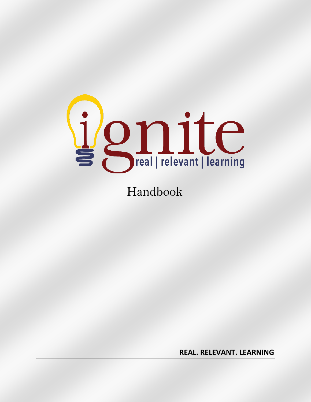

# Handbook

**REAL. RELEVANT. LEARNING**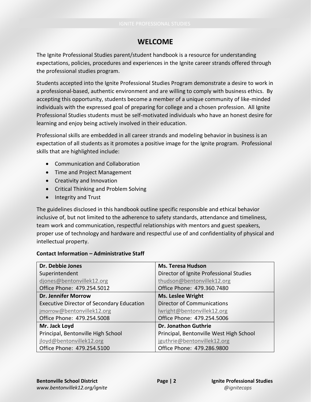# **WELCOME**

The Ignite Professional Studies parent/student handbook is a resource for understanding expectations, policies, procedures and experiences in the Ignite career strands offered through the professional studies program.

Students accepted into the Ignite Professional Studies Program demonstrate a desire to work in a professional-based, authentic environment and are willing to comply with business ethics. By accepting this opportunity, students become a member of a unique community of like-minded individuals with the expressed goal of preparing for college and a chosen profession. All Ignite Professional Studies students must be self-motivated individuals who have an honest desire for learning and enjoy being actively involved in their education.

Professional skills are embedded in all career strands and modeling behavior in business is an expectation of all students as it promotes a positive image for the Ignite program. Professional skills that are highlighted include:

- Communication and Collaboration
- Time and Project Management
- Creativity and Innovation
- Critical Thinking and Problem Solving
- Integrity and Trust

The guidelines disclosed in this handbook outline specific responsible and ethical behavior inclusive of, but not limited to the adherence to safety standards, attendance and timeliness, team work and communication, respectful relationships with mentors and guest speakers, proper use of technology and hardware and respectful use of and confidentiality of physical and intellectual property.

#### **Contact Information – Administrative Staff**

| Dr. Debbie Jones                                 | <b>Ms. Teresa Hudson</b>                |
|--------------------------------------------------|-----------------------------------------|
| Superintendent                                   | Director of Ignite Professional Studies |
| djones@bentonvillek12.org                        | thudson@bentonvillek12.org              |
| Office Phone: 479.254.5012                       | Office Phone: 479.360.7480              |
| <b>Dr. Jennifer Morrow</b>                       | <b>Ms. Leslee Wright</b>                |
| <b>Executive Director of Secondary Education</b> | <b>Director of Communications</b>       |
| jmorrow@bentonvillek12.org                       | lwright@bentonvillek12.org              |
| Office Phone: 479.254.5008                       | Office Phone: 479.254.5006              |
| Mr. Jack Loyd                                    | <b>Dr. Jonathon Guthrie</b>             |
| Principal, Bentonville High School               | Principal, Bentonville West High School |
| jloyd@bentonvillek12.org                         | jguthrie@bentonvillek12.org             |
| Office Phone: 479.254.5100                       | Office Phone: 479.286.9800              |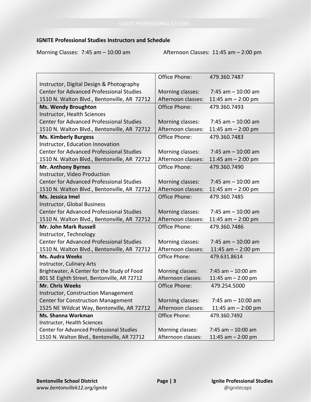# **IGNITE Professional Studies Instructors and Schedule**

Morning Classes: 7:45 am - 10:00 am Afternoon Classes: 11:45 am - 2:00 pm

|                                                 | Office Phone:      | 479.360.7487          |
|-------------------------------------------------|--------------------|-----------------------|
| Instructor, Digital Design & Photography        |                    |                       |
| <b>Center for Advanced Professional Studies</b> | Morning classes:   | $7:45$ am $-10:00$ am |
| 1510 N. Walton Blvd., Bentonville, AR 72712     | Afternoon classes: | 11:45 am $-$ 2:00 pm  |
| <b>Ms. Wendy Broughton</b>                      | Office Phone:      | 479.360.7493          |
| Instructor, Health Sciences                     |                    |                       |
| <b>Center for Advanced Professional Studies</b> | Morning classes:   | 7:45 am $-$ 10:00 am  |
| 1510 N. Walton Blvd., Bentonville, AR 72712     | Afternoon classes: | 11:45 am $-$ 2:00 pm  |
| <b>Ms. Kimberly Burgess</b>                     | Office Phone:      | 479.360.7483          |
| Instructor, Education Innovation                |                    |                       |
| <b>Center for Advanced Professional Studies</b> | Morning classes:   | $7:45$ am $-10:00$ am |
| 1510 N. Walton Blvd., Bentonville, AR 72712     | Afternoon classes: | 11:45 am $-$ 2:00 pm  |
| <b>Mr. Anthony Byrnes</b>                       | Office Phone:      | 479.360.7490          |
| Instructor, Video Production                    |                    |                       |
| <b>Center for Advanced Professional Studies</b> | Morning classes:   | $7:45$ am $-10:00$ am |
| 1510 N. Walton Blvd., Bentonville, AR 72712     | Afternoon classes: | 11:45 am $-$ 2:00 pm  |
| Ms. Jessica Imel                                | Office Phone:      | 479.360.7485          |
| Instructor, Global Business                     |                    |                       |
| <b>Center for Advanced Professional Studies</b> | Morning classes:   | $7:45$ am $-10:00$ am |
| 1510 N. Walton Blvd., Bentonville, AR 72712     | Afternoon classes: | 11:45 am $-$ 2:00 pm  |
| Mr. John Mark Russell                           | Office Phone:      | 479.360.7486          |
| Instructor, Technology                          |                    |                       |
| <b>Center for Advanced Professional Studies</b> | Morning classes:   | $7:45$ am $-10:00$ am |
| 1510 N. Walton Blvd., Bentonville, AR 72712     | Afternoon classes: | 11:45 am $-$ 2:00 pm  |
| <b>Ms. Audra Weeks</b>                          | Office Phone:      | 479.631.8614          |
| Instructor, Culinary Arts                       |                    |                       |
| Brightwater, A Center for the Study of Food     | Morning classes:   | 7:45 am $-$ 10:00 am  |
| 801 SE Eighth Street, Bentonville, AR 72712     | Afternoon classes: | 11:45 am $-$ 2:00 pm  |
| <b>Mr. Chris Weeks</b>                          | Office Phone:      | 479.254.5000          |
| <b>Instructor, Construction Management</b>      |                    |                       |
| <b>Center for Construction Management</b>       | Morning classes:   | 7:45 am $-$ 10:00 am  |
| 1525 NE Wildcat Way, Bentonville, AR 72712      | Afternoon classes: | 11:45 am $-$ 2:00 pm  |
| Ms. Shanna Workman                              | Office Phone:      | 479.360.7492          |
| <b>Instructor, Health Sciences</b>              |                    |                       |
| <b>Center for Advanced Professional Studies</b> | Morning classes:   | 7:45 am $-$ 10:00 am  |
| 1510 N. Walton Blvd., Bentonville, AR 72712     | Afternoon classes: | 11:45 am $-$ 2:00 pm  |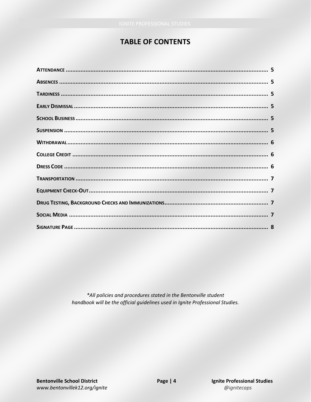# **TABLE OF CONTENTS**

\*All policies and procedures stated in the Bentonville student handbook will be the official guidelines used in Ignite Professional Studies.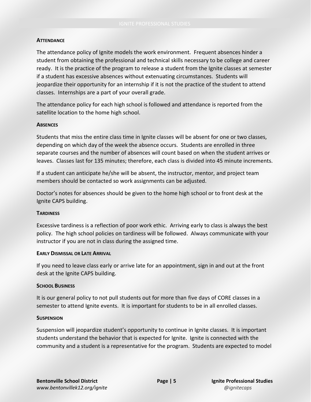#### **ATTENDANCE**

The attendance policy of Ignite models the work environment. Frequent absences hinder a student from obtaining the professional and technical skills necessary to be college and career ready. It is the practice of the program to release a student from the Ignite classes at semester if a student has excessive absences without extenuating circumstances. Students will jeopardize their opportunity for an internship if it is not the practice of the student to attend classes. Internships are a part of your overall grade.

The attendance policy for each high school is followed and attendance is reported from the satellite location to the home high school.

#### **ABSENCES**

Students that miss the entire class time in Ignite classes will be absent for one or two classes, depending on which day of the week the absence occurs. Students are enrolled in three separate courses and the number of absences will count based on when the student arrives or leaves. Classes last for 135 minutes; therefore, each class is divided into 45 minute increments.

If a student can anticipate he/she will be absent, the instructor, mentor, and project team members should be contacted so work assignments can be adjusted.

Doctor's notes for absences should be given to the home high school or to front desk at the Ignite CAPS building.

#### **TARDINESS**

Excessive tardiness is a reflection of poor work ethic. Arriving early to class is always the best policy. The high school policies on tardiness will be followed. Always communicate with your instructor if you are not in class during the assigned time.

#### **EARLY DISMISSAL OR LATE ARRIVAL**

If you need to leave class early or arrive late for an appointment, sign in and out at the front desk at the Ignite CAPS building.

#### **SCHOOL BUSINESS**

It is our general policy to not pull students out for more than five days of CORE classes in a semester to attend Ignite events. It is important for students to be in all enrolled classes.

#### **SUSPENSION**

Suspension will jeopardize student's opportunity to continue in Ignite classes. It is important students understand the behavior that is expected for Ignite. Ignite is connected with the community and a student is a representative for the program. Students are expected to model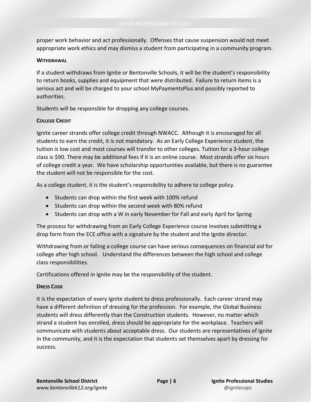proper work behavior and act professionally. Offenses that cause suspension would not meet appropriate work ethics and may dismiss a student from participating in a community program.

### **WITHDRAWAL**

If a student withdraws from Ignite or Bentonville Schools, it will be the student's responsibility to return books, supplies and equipment that were distributed. Failure to return items is a serious act and will be charged to your school MyPaymentsPlus and possibly reported to authorities.

Students will be responsible for dropping any college courses.

# **COLLEGE CREDIT**

Ignite career strands offer college credit through NWACC. Although it is encouraged for all students to earn the credit, it is not mandatory. As an Early College Experience student, the tuition is low cost and most courses will transfer to other colleges. Tuition for a 3-hour college class is \$90. There may be additional fees if it is an online course. Most strands offer six hours of college credit a year. We have scholarship opportunities available, but there is no guarantee the student will not be responsible for the cost.

As a college student, it is the student's responsibility to adhere to college policy.

- Students can drop within the first week with 100% refund
- Students can drop within the second week with 80% refund
- Students can drop with a W in early November for Fall and early April for Spring

The process for withdrawing from an Early College Experience course involves submitting a drop form from the ECE office with a signature by the student and the Ignite director.

Withdrawing from or failing a college course can have serious consequences on financial aid for college after high school. Understand the differences between the high school and college class responsibilities.

Certifications offered in Ignite may be the responsibility of the student.

# **DRESS CODE**

It is the expectation of every Ignite student to dress professionally. Each career strand may have a different definition of dressing for the profession. For example, the Global Business students will dress differently than the Construction students. However, no matter which strand a student has enrolled, dress should be appropriate for the workplace. Teachers will communicate with students about acceptable dress. Our students are representatives of Ignite in the community, and it is the expectation that students set themselves apart by dressing for success.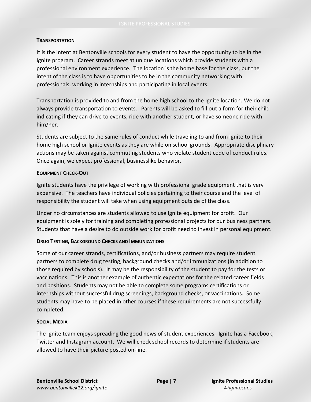### **TRANSPORTATION**

It is the intent at Bentonville schools for every student to have the opportunity to be in the Ignite program. Career strands meet at unique locations which provide students with a professional environment experience. The location is the home base for the class, but the intent of the class is to have opportunities to be in the community networking with professionals, working in internships and participating in local events.

Transportation is provided to and from the home high school to the Ignite location. We do not always provide transportation to events. Parents will be asked to fill out a form for their child indicating if they can drive to events, ride with another student, or have someone ride with him/her.

Students are subject to the same rules of conduct while traveling to and from Ignite to their home high school or Ignite events as they are while on school grounds. Appropriate disciplinary actions may be taken against commuting students who violate student code of conduct rules. Once again, we expect professional, businesslike behavior.

# **EQUIPMENT CHECK-OUT**

Ignite students have the privilege of working with professional grade equipment that is very expensive. The teachers have individual policies pertaining to their course and the level of responsibility the student will take when using equipment outside of the class.

Under no circumstances are students allowed to use Ignite equipment for profit. Our equipment is solely for training and completing professional projects for our business partners. Students that have a desire to do outside work for profit need to invest in personal equipment.

# **DRUG TESTING, BACKGROUND CHECKS AND IMMUNIZATIONS**

Some of our career strands, certifications, and/or business partners may require student partners to complete drug testing, background checks and/or immunizations (in addition to those required by schools). It may be the responsibility of the student to pay for the tests or vaccinations. This is another example of authentic expectations for the related career fields and positions. Students may not be able to complete some programs certifications or internships without successful drug screenings, background checks, or vaccinations. Some students may have to be placed in other courses if these requirements are not successfully completed.

# **SOCIAL MEDIA**

The Ignite team enjoys spreading the good news of student experiences. Ignite has a Facebook, Twitter and Instagram account. We will check school records to determine if students are allowed to have their picture posted on-line.